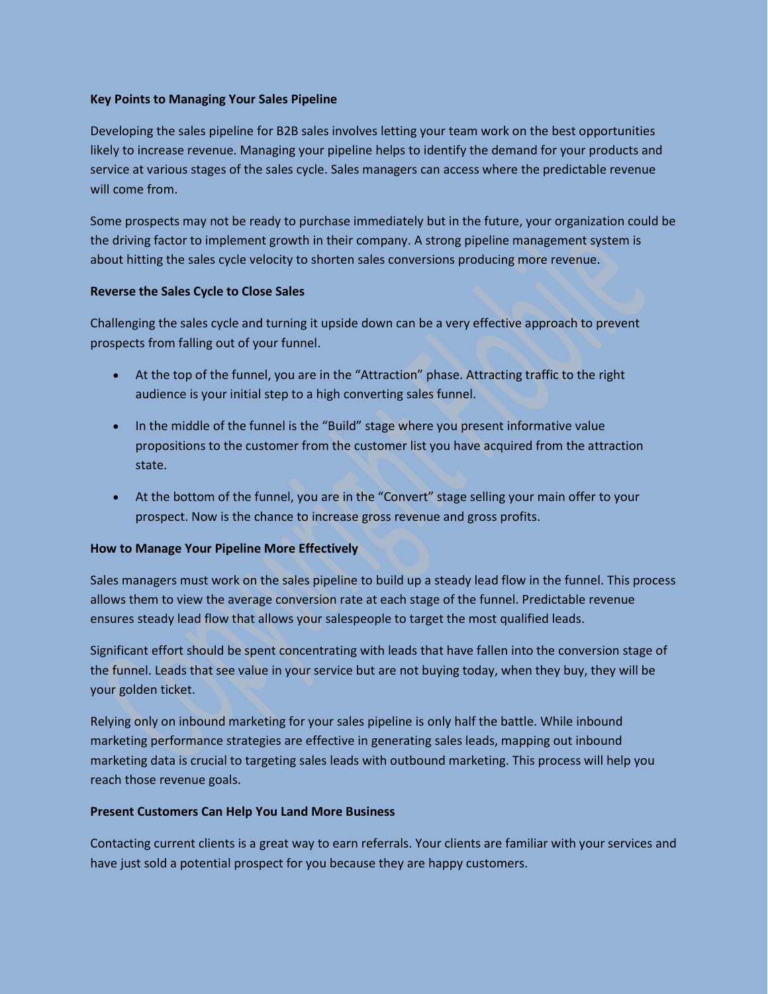## **Key Points to Managing Your Sales Pipeline**

Developing the sales pipeline for B2B sales involves letting your team work on the best opportunities likely to increase revenue. Managing your pipeline helps to identify the demand for your products and service at various stages of the sales cycle. Sales managers can access where the predictable revenue will come from.

Some prospects may not be ready to purchase immediately but in the future, your organization could be the driving factor to implement growth in their company. A strong pipeline management system is about hitting the sales cycle velocity to shorten sales conversions producing more revenue.

### **Reverse the Sales Cycle to Close Sales**

Challenging the sales cycle and turning it upside down can be a very effective approach to prevent prospects from falling out of your funnel.

- At the top of the funnel, you are in the "Attraction" phase. Attracting traffic to the right audience is your initial step to a high converting sales funnel.
- In the middle of the funnel is the "Build" stage where you present informative value propositions to the customer from the customer list you have acquired from the attraction state.
- At the bottom of the funnel, you are in the "Convert" stage selling your main offer to your prospect. Now is the chance to increase gross revenue and gross profits.

## **How to Manage Your Pipeline More Effectively**

Sales managers must work on the sales pipeline to build up a steady lead flow in the funnel. This process allows them to view the average conversion rate at each stage of the funnel. Predictable revenue ensures steady lead flow that allows your salespeople to target the most qualified leads.

Significant effort should be spent concentrating with leads that have fallen into the conversion stage of the funnel. Leads that see value in your service but are not buying today, when they buy, they will be your golden ticket.

Relying only on inbound marketing for your sales pipeline is only half the battle. While inbound marketing performance strategies are effective in generating sales leads, mapping out inbound marketing data is crucial to targeting sales leads with outbound marketing. This process will help you reach those revenue goals.

#### **Present Customers Can Help You Land More Business**

Contacting current clients is a great way to earn referrals. Your clients are familiar with your services and have just sold a potential prospect for you because they are happy customers.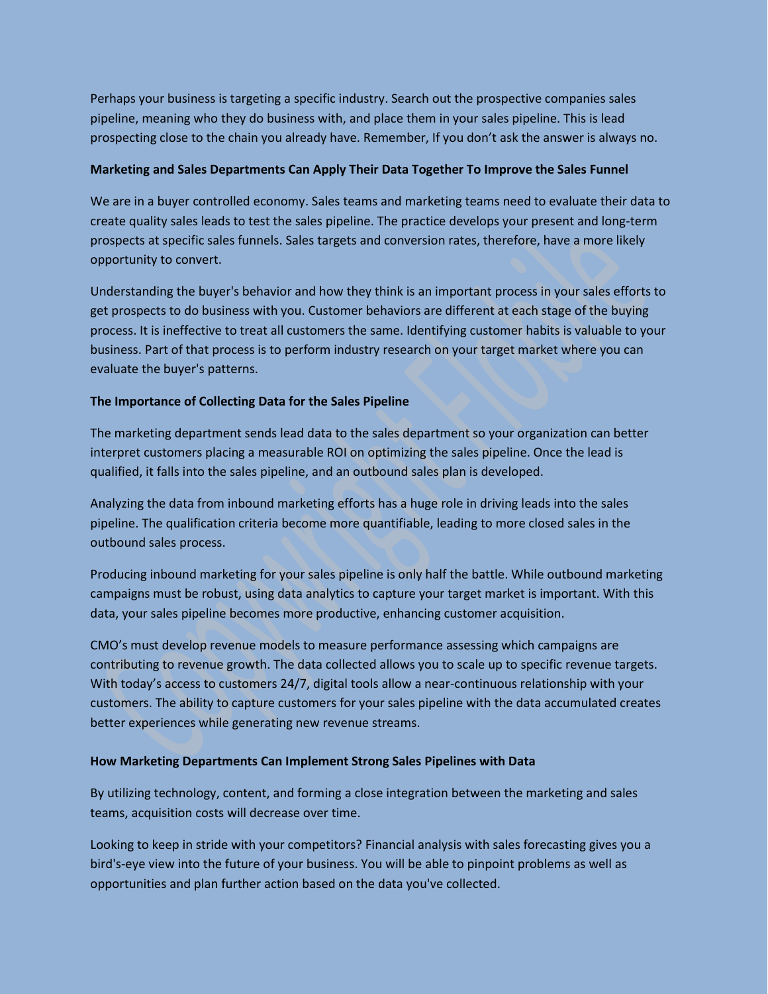Perhaps your business is targeting a specific industry. Search out the prospective companies sales pipeline, meaning who they do business with, and place them in your sales pipeline. This is lead prospecting close to the chain you already have. Remember, If you don't ask the answer is always no.

## **Marketing and Sales Departments Can Apply Their Data Together To Improve the Sales Funnel**

We are in a buyer controlled economy. Sales teams and marketing teams need to evaluate their data to create quality sales leads to test the sales pipeline. The practice develops your present and long-term prospects at specific sales funnels. Sales targets and conversion rates, therefore, have a more likely opportunity to convert.

Understanding the buyer's behavior and how they think is an important process in your sales efforts to get prospects to do business with you. Customer behaviors are different at each stage of the buying process. It is ineffective to treat all customers the same. Identifying customer habits is valuable to your business. Part of that process is to perform industry research on your target market where you can evaluate the buyer's patterns.

# **The Importance of Collecting Data for the Sales Pipeline**

The marketing department sends lead data to the sales department so your organization can better interpret customers placing a measurable ROI on optimizing the sales pipeline. Once the lead is qualified, it falls into the sales pipeline, and an outbound sales plan is developed.

Analyzing the data from inbound marketing efforts has a huge role in driving leads into the sales pipeline. The qualification criteria become more quantifiable, leading to more closed sales in the outbound sales process.

Producing inbound marketing for your sales pipeline is only half the battle. While outbound marketing campaigns must be robust, using data analytics to capture your target market is important. With this data, your sales pipeline becomes more productive, enhancing customer acquisition.

CMO's must develop revenue models to measure performance assessing which campaigns are contributing to revenue growth. The data collected allows you to scale up to specific revenue targets. With today's access to customers 24/7, digital tools allow a near-continuous relationship with your customers. The ability to capture customers for your sales pipeline with the data accumulated creates better experiences while generating new revenue streams.

## **How Marketing Departments Can Implement Strong Sales Pipelines with Data**

By utilizing technology, content, and forming a close integration between the marketing and sales teams, acquisition costs will decrease over time.

Looking to keep in stride with your competitors? Financial analysis with sales forecasting gives you a bird's-eye view into the future of your business. You will be able to pinpoint problems as well as opportunities and plan further action based on the data you've collected.